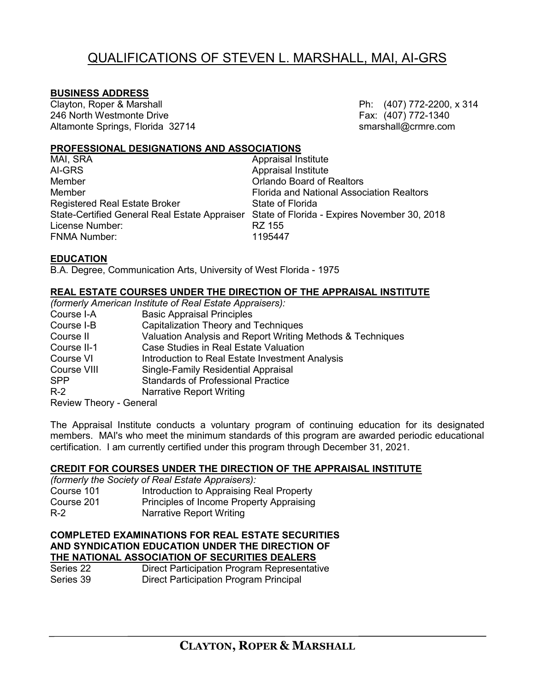# QUALIFICATIONS OF STEVEN L. MARSHALL, MAI, AI-GRS

#### **BUSINESS ADDRESS**

Clayton, Roper & Marshall **Philips and Clayton, Roper & Marshall** Ph: (407) 772-2200, x 314 246 North Westmonte Drive **Fax:** (407) 772-1340 Altamonte Springs, Florida 32714 smarshall@crmre.com

#### **PROFESSIONAL DESIGNATIONS AND ASSOCIATIONS**

| Appraisal Institute                                                                        |
|--------------------------------------------------------------------------------------------|
| <b>Appraisal Institute</b>                                                                 |
| <b>Orlando Board of Realtors</b>                                                           |
| <b>Florida and National Association Realtors</b>                                           |
| State of Florida                                                                           |
| State-Certified General Real Estate Appraiser State of Florida - Expires November 30, 2018 |
| RZ 155                                                                                     |
| 1195447                                                                                    |
|                                                                                            |

#### **EDUCATION**

B.A. Degree, Communication Arts, University of West Florida - 1975

## **REAL ESTATE COURSES UNDER THE DIRECTION OF THE APPRAISAL INSTITUTE**

|                                | (formerly American Institute of Real Estate Appraisers):   |
|--------------------------------|------------------------------------------------------------|
| Course I-A                     | <b>Basic Appraisal Principles</b>                          |
| Course I-B                     | <b>Capitalization Theory and Techniques</b>                |
| Course II                      | Valuation Analysis and Report Writing Methods & Techniques |
| Course II-1                    | Case Studies in Real Estate Valuation                      |
| Course VI                      | Introduction to Real Estate Investment Analysis            |
| Course VIII                    | Single-Family Residential Appraisal                        |
| <b>SPP</b>                     | <b>Standards of Professional Practice</b>                  |
| $R-2$                          | <b>Narrative Report Writing</b>                            |
| <b>Review Theory - General</b> |                                                            |

The Appraisal Institute conducts a voluntary program of continuing education for its designated members. MAI's who meet the minimum standards of this program are awarded periodic educational certification. I am currently certified under this program through December 31, 2021.

#### **CREDIT FOR COURSES UNDER THE DIRECTION OF THE APPRAISAL INSTITUTE**

| (formerly the Society of Real Estate Appraisers): |                                          |  |  |  |
|---------------------------------------------------|------------------------------------------|--|--|--|
| Course 101                                        | Introduction to Appraising Real Property |  |  |  |
| Course 201                                        | Principles of Income Property Appraising |  |  |  |
| R-2                                               | <b>Narrative Report Writing</b>          |  |  |  |

#### **COMPLETED EXAMINATIONS FOR REAL ESTATE SECURITIES AND SYNDICATION EDUCATION UNDER THE DIRECTION OF THE NATIONAL ASSOCIATION OF SECURITIES DEALERS**

| Series 22 | Direct Participation Program Representative |
|-----------|---------------------------------------------|
| Series 39 | Direct Participation Program Principal      |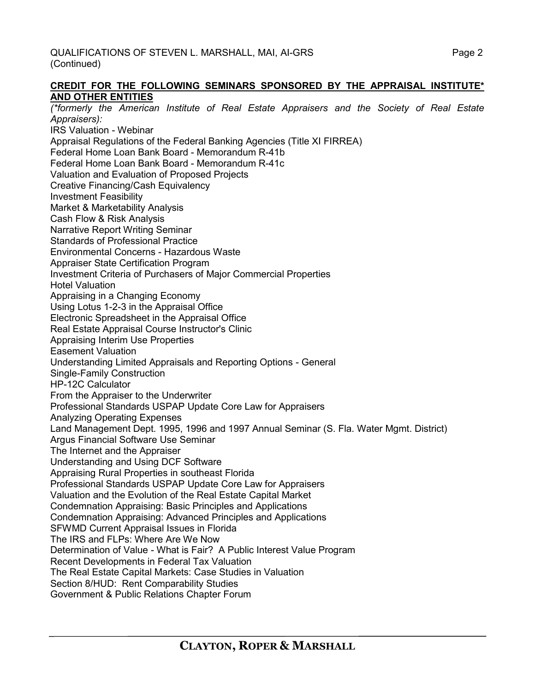#### **CREDIT FOR THE FOLLOWING SEMINARS SPONSORED BY THE APPRAISAL INSTITUTE\* AND OTHER ENTITIES**

*(\*formerly the American Institute of Real Estate Appraisers and the Society of Real Estate Appraisers):* IRS Valuation - Webinar Appraisal Regulations of the Federal Banking Agencies (Title XI FIRREA) Federal Home Loan Bank Board - Memorandum R-41b Federal Home Loan Bank Board - Memorandum R-41c Valuation and Evaluation of Proposed Projects Creative Financing/Cash Equivalency Investment Feasibility Market & Marketability Analysis Cash Flow & Risk Analysis Narrative Report Writing Seminar Standards of Professional Practice Environmental Concerns - Hazardous Waste Appraiser State Certification Program Investment Criteria of Purchasers of Major Commercial Properties Hotel Valuation Appraising in a Changing Economy Using Lotus 1-2-3 in the Appraisal Office Electronic Spreadsheet in the Appraisal Office Real Estate Appraisal Course Instructor's Clinic Appraising Interim Use Properties Easement Valuation Understanding Limited Appraisals and Reporting Options - General Single-Family Construction HP-12C Calculator From the Appraiser to the Underwriter Professional Standards USPAP Update Core Law for Appraisers Analyzing Operating Expenses Land Management Dept. 1995, 1996 and 1997 Annual Seminar (S. Fla. Water Mgmt. District) Argus Financial Software Use Seminar The Internet and the Appraiser Understanding and Using DCF Software Appraising Rural Properties in southeast Florida Professional Standards USPAP Update Core Law for Appraisers Valuation and the Evolution of the Real Estate Capital Market Condemnation Appraising: Basic Principles and Applications Condemnation Appraising: Advanced Principles and Applications SFWMD Current Appraisal Issues in Florida The IRS and FLPs: Where Are We Now Determination of Value - What is Fair? A Public Interest Value Program Recent Developments in Federal Tax Valuation The Real Estate Capital Markets: Case Studies in Valuation Section 8/HUD: Rent Comparability Studies Government & Public Relations Chapter Forum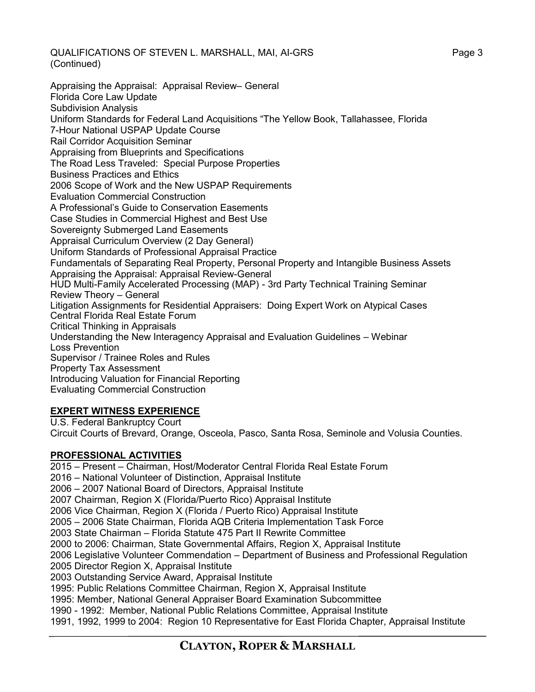QUALIFICATIONS OF STEVEN L. MARSHALL, MAI, AI-GRS Page 3 (Continued)

Appraising the Appraisal: Appraisal Review– General Florida Core Law Update Subdivision Analysis Uniform Standards for Federal Land Acquisitions "The Yellow Book, Tallahassee, Florida 7-Hour National USPAP Update Course Rail Corridor Acquisition Seminar Appraising from Blueprints and Specifications The Road Less Traveled: Special Purpose Properties Business Practices and Ethics 2006 Scope of Work and the New USPAP Requirements Evaluation Commercial Construction A Professional's Guide to Conservation Easements Case Studies in Commercial Highest and Best Use Sovereignty Submerged Land Easements Appraisal Curriculum Overview (2 Day General) Uniform Standards of Professional Appraisal Practice Fundamentals of Separating Real Property, Personal Property and Intangible Business Assets Appraising the Appraisal: Appraisal Review-General HUD Multi-Family Accelerated Processing (MAP) - 3rd Party Technical Training Seminar Review Theory – General Litigation Assignments for Residential Appraisers: Doing Expert Work on Atypical Cases Central Florida Real Estate Forum Critical Thinking in Appraisals Understanding the New Interagency Appraisal and Evaluation Guidelines – Webinar Loss Prevention Supervisor / Trainee Roles and Rules Property Tax Assessment Introducing Valuation for Financial Reporting Evaluating Commercial Construction

## **EXPERT WITNESS EXPERIENCE**

U.S. Federal Bankruptcy Court Circuit Courts of Brevard, Orange, Osceola, Pasco, Santa Rosa, Seminole and Volusia Counties.

## **PROFESSIONAL ACTIVITIES**

2015 – Present – Chairman, Host/Moderator Central Florida Real Estate Forum 2016 – National Volunteer of Distinction, Appraisal Institute 2006 – 2007 National Board of Directors, Appraisal Institute 2007 Chairman, Region X (Florida/Puerto Rico) Appraisal Institute 2006 Vice Chairman, Region X (Florida / Puerto Rico) Appraisal Institute 2005 – 2006 State Chairman, Florida AQB Criteria Implementation Task Force 2003 State Chairman – Florida Statute 475 Part II Rewrite Committee 2000 to 2006: Chairman, State Governmental Affairs, Region X, Appraisal Institute 2006 Legislative Volunteer Commendation – Department of Business and Professional Regulation 2005 Director Region X, Appraisal Institute 2003 Outstanding Service Award, Appraisal Institute 1995: Public Relations Committee Chairman, Region X, Appraisal Institute 1995: Member, National General Appraiser Board Examination Subcommittee 1990 - 1992: Member, National Public Relations Committee, Appraisal Institute 1991, 1992, 1999 to 2004: Region 10 Representative for East Florida Chapter, Appraisal Institute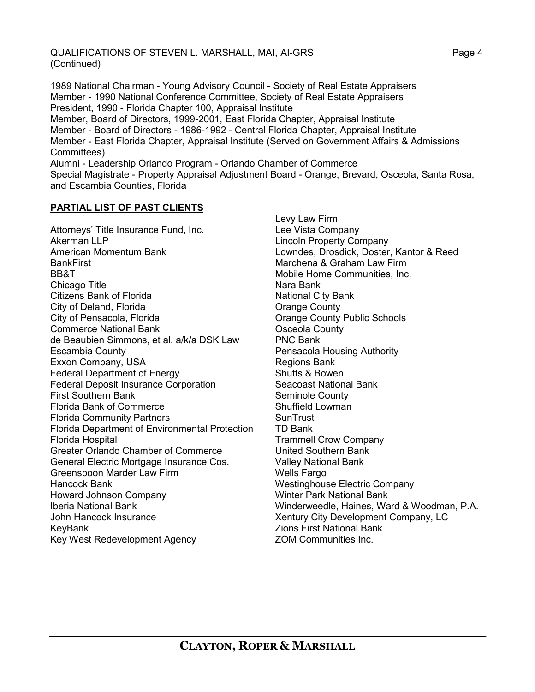QUALIFICATIONS OF STEVEN L. MARSHALL, MAI, AI-GRS Page 4 (Continued)

1989 National Chairman - Young Advisory Council - Society of Real Estate Appraisers Member - 1990 National Conference Committee, Society of Real Estate Appraisers President, 1990 - Florida Chapter 100, Appraisal Institute Member, Board of Directors, 1999-2001, East Florida Chapter, Appraisal Institute Member - Board of Directors - 1986-1992 - Central Florida Chapter, Appraisal Institute Member - East Florida Chapter, Appraisal Institute (Served on Government Affairs & Admissions Committees) Alumni - Leadership Orlando Program - Orlando Chamber of Commerce Special Magistrate - Property Appraisal Adjustment Board - Orange, Brevard, Osceola, Santa Rosa, and Escambia Counties, Florida

#### **PARTIAL LIST OF PAST CLIENTS**

Attorneys' Title Insurance Fund, Inc. Akerman LLP American Momentum Bank **BankFirst** BB&T Chicago Title Citizens Bank of Florida City of Deland, Florida City of Pensacola, Florida Commerce National Bank de Beaubien Simmons, et al. a/k/a DSK Law Escambia County Exxon Company, USA Federal Department of Energy Federal Deposit Insurance Corporation First Southern Bank Florida Bank of Commerce Florida Community Partners Florida Department of Environmental Protection Florida Hospital Greater Orlando Chamber of Commerce General Electric Mortgage Insurance Cos. Greenspoon Marder Law Firm Hancock Bank Howard Johnson Company Iberia National Bank John Hancock Insurance KeyBank Key West Redevelopment Agency

Levy Law Firm Lee Vista Company Lincoln Property Company Lowndes, Drosdick, Doster, Kantor & Reed Marchena & Graham Law Firm Mobile Home Communities, Inc. Nara Bank National City Bank Orange County Orange County Public Schools Osceola County PNC Bank Pensacola Housing Authority Regions Bank Shutts & Bowen Seacoast National Bank Seminole County Shuffield Lowman **SunTrust** TD Bank Trammell Crow Company United Southern Bank Valley National Bank Wells Fargo Westinghouse Electric Company Winter Park National Bank Winderweedle, Haines, Ward & Woodman, P.A. Xentury City Development Company, LC Zions First National Bank ZOM Communities Inc.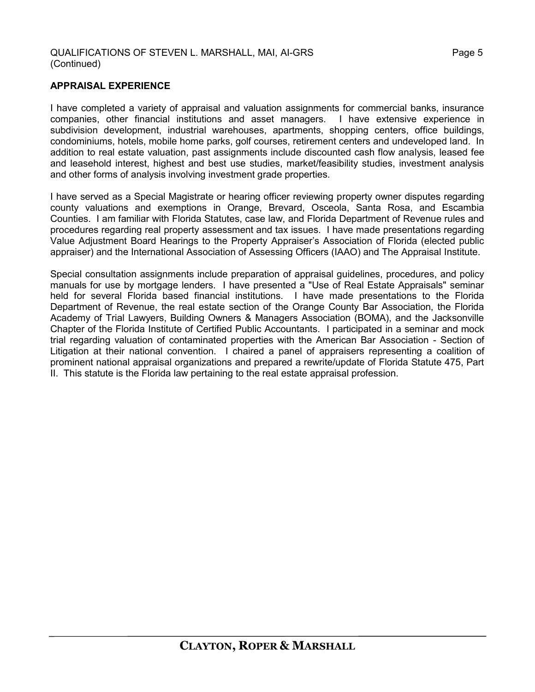#### **APPRAISAL EXPERIENCE**

I have completed a variety of appraisal and valuation assignments for commercial banks, insurance companies, other financial institutions and asset managers. I have extensive experience in subdivision development, industrial warehouses, apartments, shopping centers, office buildings, condominiums, hotels, mobile home parks, golf courses, retirement centers and undeveloped land. In addition to real estate valuation, past assignments include discounted cash flow analysis, leased fee and leasehold interest, highest and best use studies, market/feasibility studies, investment analysis and other forms of analysis involving investment grade properties.

I have served as a Special Magistrate or hearing officer reviewing property owner disputes regarding county valuations and exemptions in Orange, Brevard, Osceola, Santa Rosa, and Escambia Counties. I am familiar with Florida Statutes, case law, and Florida Department of Revenue rules and procedures regarding real property assessment and tax issues. I have made presentations regarding Value Adjustment Board Hearings to the Property Appraiser's Association of Florida (elected public appraiser) and the International Association of Assessing Officers (IAAO) and The Appraisal Institute.

Special consultation assignments include preparation of appraisal guidelines, procedures, and policy manuals for use by mortgage lenders. I have presented a "Use of Real Estate Appraisals" seminar held for several Florida based financial institutions. I have made presentations to the Florida Department of Revenue, the real estate section of the Orange County Bar Association, the Florida Academy of Trial Lawyers, Building Owners & Managers Association (BOMA), and the Jacksonville Chapter of the Florida Institute of Certified Public Accountants. I participated in a seminar and mock trial regarding valuation of contaminated properties with the American Bar Association - Section of Litigation at their national convention. I chaired a panel of appraisers representing a coalition of prominent national appraisal organizations and prepared a rewrite/update of Florida Statute 475, Part II. This statute is the Florida law pertaining to the real estate appraisal profession.